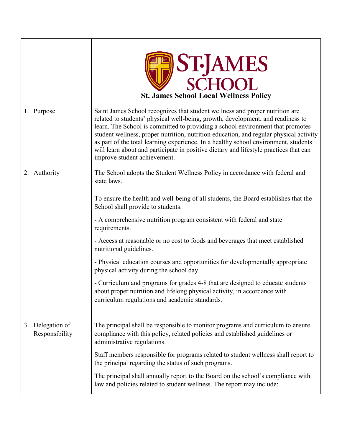|                                    | <b>ST-JAMES</b><br>SCHOOL<br><b>St. James School Local Wellness Policy</b>                                                                                                                                                                                                                                                                                                                                                                                                                                                                                  |
|------------------------------------|-------------------------------------------------------------------------------------------------------------------------------------------------------------------------------------------------------------------------------------------------------------------------------------------------------------------------------------------------------------------------------------------------------------------------------------------------------------------------------------------------------------------------------------------------------------|
| 1. Purpose                         | Saint James School recognizes that student wellness and proper nutrition are<br>related to students' physical well-being, growth, development, and readiness to<br>learn. The School is committed to providing a school environment that promotes<br>student wellness, proper nutrition, nutrition education, and regular physical activity<br>as part of the total learning experience. In a healthy school environment, students<br>will learn about and participate in positive dietary and lifestyle practices that can<br>improve student achievement. |
| Authority<br>2.                    | The School adopts the Student Wellness Policy in accordance with federal and<br>state laws.                                                                                                                                                                                                                                                                                                                                                                                                                                                                 |
|                                    | To ensure the health and well-being of all students, the Board establishes that the<br>School shall provide to students:                                                                                                                                                                                                                                                                                                                                                                                                                                    |
|                                    | - A comprehensive nutrition program consistent with federal and state<br>requirements.                                                                                                                                                                                                                                                                                                                                                                                                                                                                      |
|                                    | - Access at reasonable or no cost to foods and beverages that meet established<br>nutritional guidelines.                                                                                                                                                                                                                                                                                                                                                                                                                                                   |
|                                    | - Physical education courses and opportunities for developmentally appropriate<br>physical activity during the school day.                                                                                                                                                                                                                                                                                                                                                                                                                                  |
|                                    | - Curriculum and programs for grades 4-8 that are designed to educate students<br>about proper nutrition and lifelong physical activity, in accordance with<br>curriculum regulations and academic standards.                                                                                                                                                                                                                                                                                                                                               |
| 3. Delegation of<br>Responsibility | The principal shall be responsible to monitor programs and curriculum to ensure<br>compliance with this policy, related policies and established guidelines or<br>administrative regulations.                                                                                                                                                                                                                                                                                                                                                               |
|                                    | Staff members responsible for programs related to student wellness shall report to<br>the principal regarding the status of such programs.                                                                                                                                                                                                                                                                                                                                                                                                                  |
|                                    | The principal shall annually report to the Board on the school's compliance with<br>law and policies related to student wellness. The report may include:                                                                                                                                                                                                                                                                                                                                                                                                   |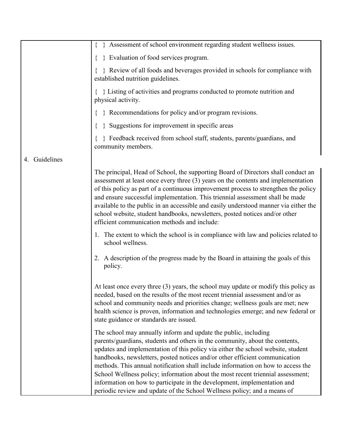|                  | Assessment of school environment regarding student wellness issues.                                                                                                                                                                                                                                                                                                                                                                                                                                                                                                                                                                               |
|------------------|---------------------------------------------------------------------------------------------------------------------------------------------------------------------------------------------------------------------------------------------------------------------------------------------------------------------------------------------------------------------------------------------------------------------------------------------------------------------------------------------------------------------------------------------------------------------------------------------------------------------------------------------------|
|                  | } Evaluation of food services program.                                                                                                                                                                                                                                                                                                                                                                                                                                                                                                                                                                                                            |
|                  | Review of all foods and beverages provided in schools for compliance with<br>established nutrition guidelines.                                                                                                                                                                                                                                                                                                                                                                                                                                                                                                                                    |
|                  | $\{\ \}$ Listing of activities and programs conducted to promote nutrition and<br>physical activity.                                                                                                                                                                                                                                                                                                                                                                                                                                                                                                                                              |
|                  | } Recommendations for policy and/or program revisions.                                                                                                                                                                                                                                                                                                                                                                                                                                                                                                                                                                                            |
|                  | Suggestions for improvement in specific areas                                                                                                                                                                                                                                                                                                                                                                                                                                                                                                                                                                                                     |
|                  | } Feedback received from school staff, students, parents/guardians, and<br>community members.                                                                                                                                                                                                                                                                                                                                                                                                                                                                                                                                                     |
| Guidelines<br>4. |                                                                                                                                                                                                                                                                                                                                                                                                                                                                                                                                                                                                                                                   |
|                  | The principal, Head of School, the supporting Board of Directors shall conduct an<br>assessment at least once every three $(3)$ years on the contents and implementation<br>of this policy as part of a continuous improvement process to strengthen the policy<br>and ensure successful implementation. This triennial assessment shall be made<br>available to the public in an accessible and easily understood manner via either the<br>school website, student handbooks, newsletters, posted notices and/or other<br>efficient communication methods and include:                                                                           |
|                  | 1. The extent to which the school is in compliance with law and policies related to<br>school wellness.                                                                                                                                                                                                                                                                                                                                                                                                                                                                                                                                           |
|                  | 2. A description of the progress made by the Board in attaining the goals of this<br>policy.                                                                                                                                                                                                                                                                                                                                                                                                                                                                                                                                                      |
|                  | At least once every three $(3)$ years, the school may update or modify this policy as<br>needed, based on the results of the most recent triennial assessment and/or as<br>school and community needs and priorities change; wellness goals are met; new<br>health science is proven, information and technologies emerge; and new federal or<br>state guidance or standards are issued.                                                                                                                                                                                                                                                          |
|                  | The school may annually inform and update the public, including<br>parents/guardians, students and others in the community, about the contents,<br>updates and implementation of this policy via either the school website, student<br>handbooks, newsletters, posted notices and/or other efficient communication<br>methods. This annual notification shall include information on how to access the<br>School Wellness policy; information about the most recent triennial assessment;<br>information on how to participate in the development, implementation and<br>periodic review and update of the School Wellness policy; and a means of |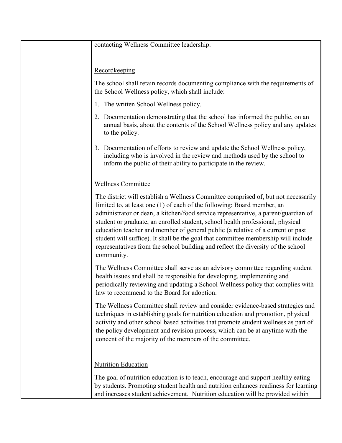contacting Wellness Committee leadership.

## Recordkeeping

The school shall retain records documenting compliance with the requirements of the School Wellness policy, which shall include:

- 1. The written School Wellness policy.
- 2. Documentation demonstrating that the school has informed the public, on an annual basis, about the contents of the School Wellness policy and any updates to the policy.
- 3. Documentation of efforts to review and update the School Wellness policy, including who is involved in the review and methods used by the school to inform the public of their ability to participate in the review.

## Wellness Committee

The district will establish a Wellness Committee comprised of, but not necessarily limited to, at least one (1) of each of the following: Board member, an administrator or dean, a kitchen/food service representative, a parent/guardian of student or graduate, an enrolled student, school health professional, physical education teacher and member of general public (a relative of a current or past student will suffice). It shall be the goal that committee membership will include representatives from the school building and reflect the diversity of the school community.

The Wellness Committee shall serve as an advisory committee regarding student health issues and shall be responsible for developing, implementing and periodically reviewing and updating a School Wellness policy that complies with law to recommend to the Board for adoption.

The Wellness Committee shall review and consider evidence-based strategies and techniques in establishing goals for nutrition education and promotion, physical activity and other school based activities that promote student wellness as part of the policy development and revision process, which can be at anytime with the concent of the majority of the members of the committee.

## Nutrition Education

The goal of nutrition education is to teach, encourage and support healthy eating by students. Promoting student health and nutrition enhances readiness for learning and increases student achievement. Nutrition education will be provided within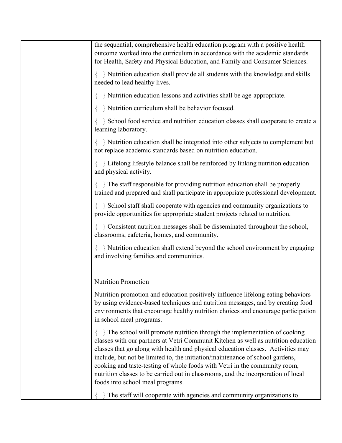| the sequential, comprehensive health education program with a positive health<br>outcome worked into the curriculum in accordance with the academic standards<br>for Health, Safety and Physical Education, and Family and Consumer Sciences.                                                                                                                                                                                                                                                                                             |
|-------------------------------------------------------------------------------------------------------------------------------------------------------------------------------------------------------------------------------------------------------------------------------------------------------------------------------------------------------------------------------------------------------------------------------------------------------------------------------------------------------------------------------------------|
| { } Nutrition education shall provide all students with the knowledge and skills<br>needed to lead healthy lives.                                                                                                                                                                                                                                                                                                                                                                                                                         |
| } Nutrition education lessons and activities shall be age-appropriate.                                                                                                                                                                                                                                                                                                                                                                                                                                                                    |
| } Nutrition curriculum shall be behavior focused.                                                                                                                                                                                                                                                                                                                                                                                                                                                                                         |
| School food service and nutrition education classes shall cooperate to create a<br>learning laboratory.                                                                                                                                                                                                                                                                                                                                                                                                                                   |
| $\{\ \}$ Nutrition education shall be integrated into other subjects to complement but<br>not replace academic standards based on nutrition education.                                                                                                                                                                                                                                                                                                                                                                                    |
| $\{\ \}$ Lifelong lifestyle balance shall be reinforced by linking nutrition education<br>and physical activity.                                                                                                                                                                                                                                                                                                                                                                                                                          |
| $\{\ \}$ The staff responsible for providing nutrition education shall be properly<br>trained and prepared and shall participate in appropriate professional development.                                                                                                                                                                                                                                                                                                                                                                 |
| School staff shall cooperate with agencies and community organizations to<br>provide opportunities for appropriate student projects related to nutrition.                                                                                                                                                                                                                                                                                                                                                                                 |
| { } Consistent nutrition messages shall be disseminated throughout the school,<br>classrooms, cafeteria, homes, and community.                                                                                                                                                                                                                                                                                                                                                                                                            |
| $\{\ \}$ Nutrition education shall extend beyond the school environment by engaging<br>and involving families and communities.                                                                                                                                                                                                                                                                                                                                                                                                            |
| <b>Nutrition Promotion</b>                                                                                                                                                                                                                                                                                                                                                                                                                                                                                                                |
| Nutrition promotion and education positively influence lifelong eating behaviors<br>by using evidence-based techniques and nutrition messages, and by creating food<br>environments that encourage healthy nutrition choices and encourage participation<br>in school meal programs.                                                                                                                                                                                                                                                      |
| The school will promote nutrition through the implementation of cooking<br>classes with our partners at Vetri Communit Kitchen as well as nutrition education<br>classes that go along with health and physical education classes. Activities may<br>include, but not be limited to, the initiation/maintenance of school gardens,<br>cooking and taste-testing of whole foods with Vetri in the community room,<br>nutrition classes to be carried out in classrooms, and the incorporation of local<br>foods into school meal programs. |
| The staff will cooperate with agencies and community organizations to                                                                                                                                                                                                                                                                                                                                                                                                                                                                     |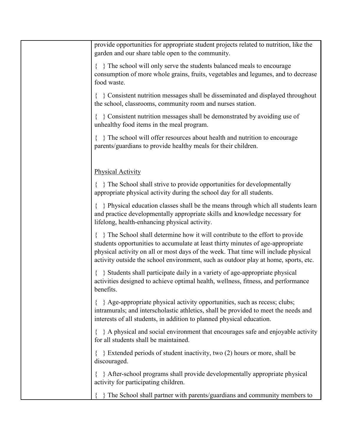{ } The school will only serve the students balanced meals to encourage consumption of more whole grains, fruits, vegetables and legumes, and to decrease food waste. { } Consistent nutrition messages shall be disseminated and displayed throughout the school, classrooms, community room and nurses station. { } Consistent nutrition messages shall be demonstrated by avoiding use of unhealthy food items in the meal program. { } The school will offer resources about health and nutrition to encourage parents/guardians to provide healthy meals for their children. Physical Activity { } The School shall strive to provide opportunities for developmentally appropriate physical activity during the school day for all students. { } Physical education classes shall be the means through which all students learn and practice developmentally appropriate skills and knowledge necessary for lifelong, health-enhancing physical activity. { } The School shall determine how it will contribute to the effort to provide students opportunities to accumulate at least thirty minutes of age-appropriate physical activity on all or most days of the week. That time will include physical activity outside the school environment, such as outdoor play at home, sports, etc. { } Students shall participate daily in a variety of age-appropriate physical activities designed to achieve optimal health, wellness, fitness, and performance benefits. { } Age-appropriate physical activity opportunities, such as recess; clubs; intramurals; and interscholastic athletics, shall be provided to meet the needs and interests of all students, in addition to planned physical education. { } A physical and social environment that encourages safe and enjoyable activity for all students shall be maintained. { } Extended periods of student inactivity, two (2) hours or more, shall be discouraged. { } After-school programs shall provide developmentally appropriate physical activity for participating children. { } The School shall partner with parents/guardians and community members to

provide opportunities for appropriate student projects related to nutrition, like the

garden and our share table open to the community.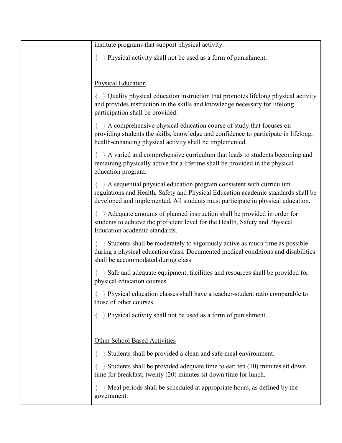| institute programs that support physical activity.                                                                                                                                                                                                  |
|-----------------------------------------------------------------------------------------------------------------------------------------------------------------------------------------------------------------------------------------------------|
| } Physical activity shall not be used as a form of punishment.                                                                                                                                                                                      |
|                                                                                                                                                                                                                                                     |
| <b>Physical Education</b>                                                                                                                                                                                                                           |
| $\{\ \}$ Quality physical education instruction that promotes lifelong physical activity<br>and provides instruction in the skills and knowledge necessary for lifelong<br>participation shall be provided.                                         |
| A comprehensive physical education course of study that focuses on<br>providing students the skills, knowledge and confidence to participate in lifelong,<br>health-enhancing physical activity shall be implemented.                               |
| $\{\ \}$ A varied and comprehensive curriculum that leads to students becoming and<br>remaining physically active for a lifetime shall be provided in the physical<br>education program.                                                            |
| $\{\ \}$ A sequential physical education program consistent with curriculum<br>regulations and Health, Safety and Physical Education academic standards shall be<br>developed and implemented. All students must participate in physical education. |
| Adequate amounts of planned instruction shall be provided in order for<br>students to achieve the proficient level for the Health, Safety and Physical<br>Education academic standards.                                                             |
| { } Students shall be moderately to vigorously active as much time as possible<br>during a physical education class. Documented medical conditions and disabilities<br>shall be accommodated during class.                                          |
| } Safe and adequate equipment, facilities and resources shall be provided for<br>physical education courses.                                                                                                                                        |
| } Physical education classes shall have a teacher-student ratio comparable to<br>those of other courses.                                                                                                                                            |
| } Physical activity shall not be used as a form of punishment.                                                                                                                                                                                      |
| <b>Other School Based Activities</b>                                                                                                                                                                                                                |
| } Students shall be provided a clean and safe meal environment.                                                                                                                                                                                     |
| Students shall be provided adequate time to eat: ten (10) minutes sit down<br>time for breakfast; twenty (20) minutes sit down time for lunch.                                                                                                      |
| } Meal periods shall be scheduled at appropriate hours, as defined by the<br>government.                                                                                                                                                            |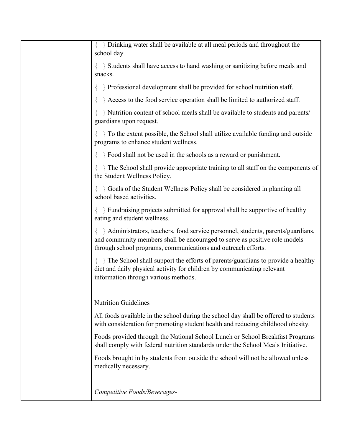| { } Drinking water shall be available at all meal periods and throughout the<br>school day.                                                                                                                                   |
|-------------------------------------------------------------------------------------------------------------------------------------------------------------------------------------------------------------------------------|
| $\{\ \}$ Students shall have access to hand washing or sanitizing before meals and<br>snacks.                                                                                                                                 |
| $\{\ \}$ Professional development shall be provided for school nutrition staff.                                                                                                                                               |
| Access to the food service operation shall be limited to authorized staff.                                                                                                                                                    |
| } Nutrition content of school meals shall be available to students and parents/<br>guardians upon request.                                                                                                                    |
| $\{\ \}$ To the extent possible, the School shall utilize available funding and outside<br>programs to enhance student wellness.                                                                                              |
| Food shall not be used in the schools as a reward or punishment.                                                                                                                                                              |
| { } The School shall provide appropriate training to all staff on the components of<br>the Student Wellness Policy.                                                                                                           |
| { } Goals of the Student Wellness Policy shall be considered in planning all<br>school based activities.                                                                                                                      |
| Fundraising projects submitted for approval shall be supportive of healthy<br>eating and student wellness.                                                                                                                    |
| Administrators, teachers, food service personnel, students, parents/guardians,<br>and community members shall be encouraged to serve as positive role models<br>through school programs, communications and outreach efforts. |
| $\{\ \}$ The School shall support the efforts of parents/guardians to provide a healthy<br>diet and daily physical activity for children by communicating relevant<br>information through various methods.                    |
| <b>Nutrition Guidelines</b>                                                                                                                                                                                                   |
| All foods available in the school during the school day shall be offered to students<br>with consideration for promoting student health and reducing childhood obesity.                                                       |
| Foods provided through the National School Lunch or School Breakfast Programs<br>shall comply with federal nutrition standards under the School Meals Initiative.                                                             |
| Foods brought in by students from outside the school will not be allowed unless<br>medically necessary.                                                                                                                       |
|                                                                                                                                                                                                                               |
| Competitive Foods/Beverages-                                                                                                                                                                                                  |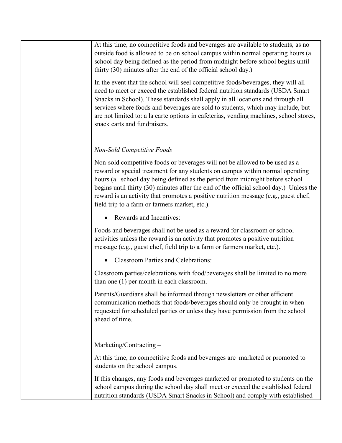At this time, no competitive foods and beverages are available to students, as no outside food is allowed to be on school campus within normal operating hours (a school day being defined as the period from midnight before school begins until thirty (30) minutes after the end of the official school day.)

In the event that the school will seel competitive foods/beverages, they will all need to meet or exceed the established federal nutrition standards (USDA Smart Snacks in School). These standards shall apply in all locations and through all services where foods and beverages are sold to students, which may include, but are not limited to: a la carte options in cafeterias, vending machines, school stores, snack carts and fundraisers.

## *Non-Sold Competitive Foods –*

Non-sold competitive foods or beverages will not be allowed to be used as a reward or special treatment for any students on campus within normal operating hours (a school day being defined as the period from midnight before school begins until thirty (30) minutes after the end of the official school day.) Unless the reward is an activity that promotes a positive nutrition message (e.g., guest chef, field trip to a farm or farmers market, etc.).

• Rewards and Incentives:

Foods and beverages shall not be used as a reward for classroom or school activities unless the reward is an activity that promotes a positive nutrition message (e.g., guest chef, field trip to a farm or farmers market, etc.).

• Classroom Parties and Celebrations:

Classroom parties/celebrations with food/beverages shall be limited to no more than one (1) per month in each classroom.

Parents/Guardians shall be informed through newsletters or other efficient communication methods that foods/beverages should only be brought in when requested for scheduled parties or unless they have permission from the school ahead of time.

Marketing/Contracting –

At this time, no competitive foods and beverages are marketed or promoted to students on the school campus.

If this changes, any foods and beverages marketed or promoted to students on the school campus during the school day shall meet or exceed the established federal nutrition standards (USDA Smart Snacks in School) and comply with established